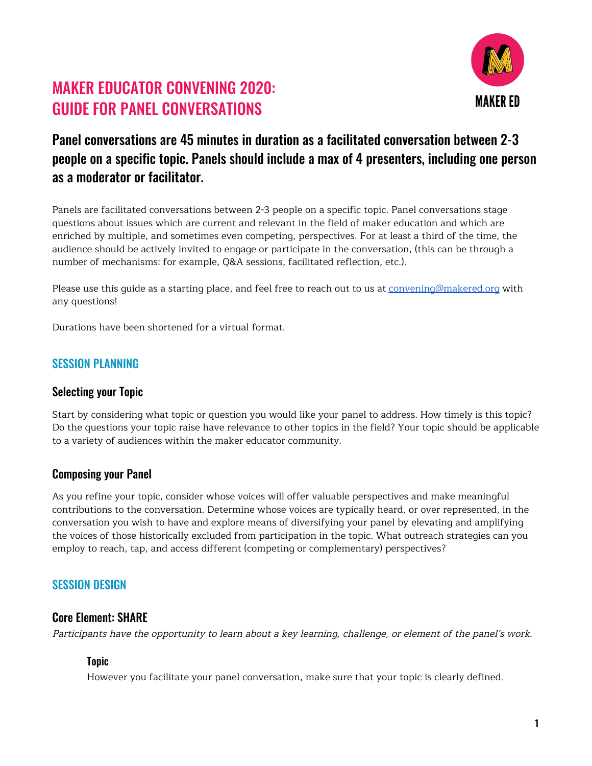

# MAKER EDUCATOR CONVENING 2020: GUIDE FOR PANEL CONVERSATIONS

## Panel conversations are 45 minutes in duration as a facilitated conversation between 2-3 people on a specific topic. Panels should include a max of 4 presenters, including one person as a moderator or facilitator.

Panels are facilitated conversations between 2-3 people on a specific topic. Panel conversations stage questions about issues which are current and relevant in the field of maker education and which are enriched by multiple, and sometimes even competing, perspectives. For at least a third of the time, the audience should be actively invited to engage or participate in the conversation, (this can be through a number of mechanisms: for example, Q&A sessions, facilitated reflection, etc.).

Please use this guide as a starting place, and feel free to reach out to us at [convening@makered.org](mailto:convening@makered.org) with any questions!

Durations have been shortened for a virtual format.

#### SESSION PLANNING

#### Selecting your Topic

Start by considering what topic or question you would like your panel to address. How timely is this topic? Do the questions your topic raise have relevance to other topics in the field? Your topic should be applicable to a variety of audiences within the maker educator community.

#### Composing your Panel

As you refine your topic, consider whose voices will offer valuable perspectives and make meaningful contributions to the conversation. Determine whose voices are typically heard, or over represented, in the conversation you wish to have and explore means of diversifying your panel by elevating and amplifying the voices of those historically excluded from participation in the topic. What outreach strategies can you employ to reach, tap, and access different (competing or complementary) perspectives?

#### SESSION DESIGN

#### Core Element: SHARE

Participants have the opportunity to learn about <sup>a</sup> key learning, challenge, or element of the panel's work.

#### **Topic**

However you facilitate your panel conversation, make sure that your topic is clearly defined.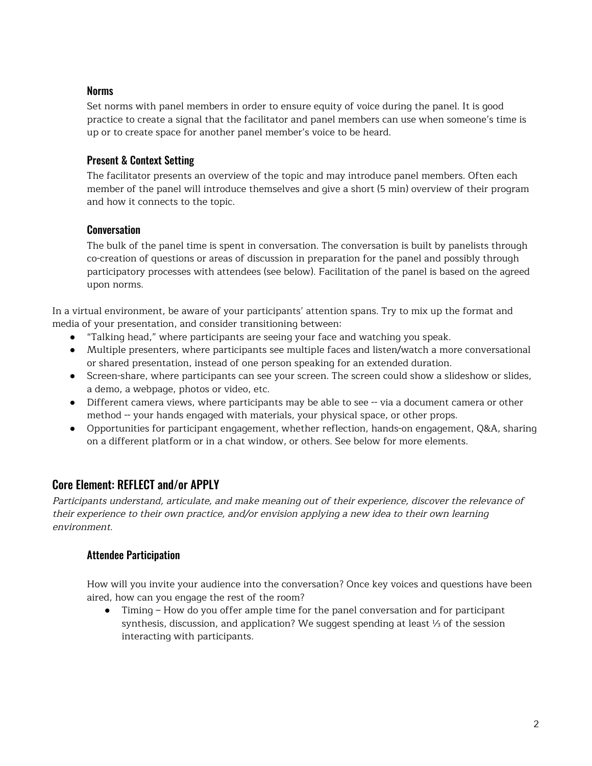#### Norms

Set norms with panel members in order to ensure equity of voice during the panel. It is good practice to create a signal that the facilitator and panel members can use when someone's time is up or to create space for another panel member's voice to be heard.

#### Present & Context Setting

The facilitator presents an overview of the topic and may introduce panel members. Often each member of the panel will introduce themselves and give a short (5 min) overview of their program and how it connects to the topic.

#### **Conversation**

The bulk of the panel time is spent in conversation. The conversation is built by panelists through co-creation of questions or areas of discussion in preparation for the panel and possibly through participatory processes with attendees (see below). Facilitation of the panel is based on the agreed upon norms.

In a virtual environment, be aware of your participants' attention spans. Try to mix up the format and media of your presentation, and consider transitioning between:

- "Talking head," where participants are seeing your face and watching you speak.
- Multiple presenters, where participants see multiple faces and listen/watch a more conversational or shared presentation, instead of one person speaking for an extended duration.
- Screen-share, where participants can see your screen. The screen could show a slideshow or slides, a demo, a webpage, photos or video, etc.
- Different camera views, where participants may be able to see -- via a document camera or other method -- your hands engaged with materials, your physical space, or other props.
- Opportunities for participant engagement, whether reflection, hands-on engagement, Q&A, sharing on a different platform or in a chat window, or others. See below for more elements.

## Core Element: REFLECT and/or APPLY

Participants understand, articulate, and make meaning out of their experience, discover the relevance of their experience to their own practice, and/or envision applying <sup>a</sup> new idea to their own learning environment.

#### Attendee Participation

How will you invite your audience into the conversation? Once key voices and questions have been aired, how can you engage the rest of the room?

• Timing – How do you offer ample time for the panel conversation and for participant synthesis, discussion, and application? We suggest spending at least ⅓ of the session interacting with participants.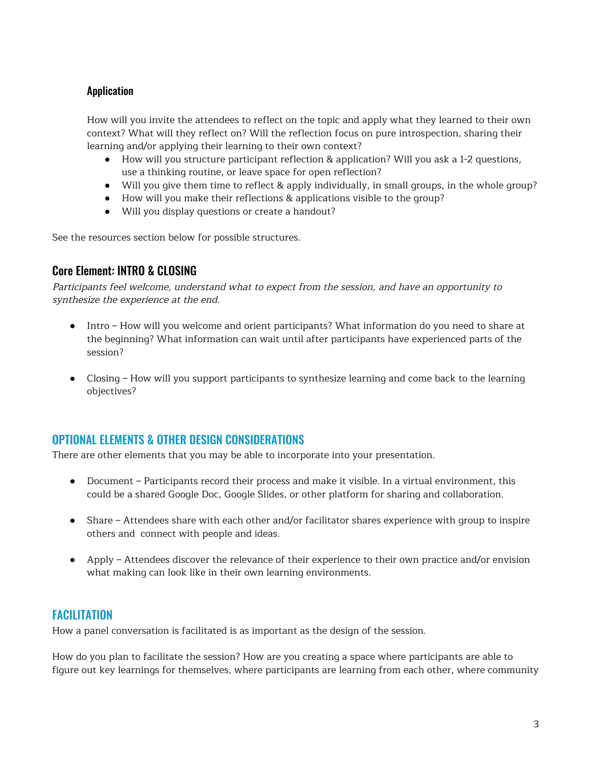#### Application

How will you invite the attendees to reflect on the topic and apply what they learned to their own context? What will they reflect on? Will the reflection focus on pure introspection, sharing their learning and/or applying their learning to their own context?

- How will you structure participant reflection & application? Will you ask a 1-2 questions, use a thinking routine, or leave space for open reflection?
- Will you give them time to reflect & apply individually, in small groups, in the whole group?
- How will you make their reflections & applications visible to the group?
- Will you display questions or create a handout?

See the resources section below for possible structures.

#### Core Element: INTRO & CLOSING

Participants feel welcome, understand what to expect from the session, and have an opportunity to synthesize the experience at the end.

- Intro How will you welcome and orient participants? What information do you need to share at the beginning? What information can wait until after participants have experienced parts of the session?
- Closing How will you support participants to synthesize learning and come back to the learning objectives?

## OPTIONAL ELEMENTS & OTHER DESIGN CONSIDERATIONS

There are other elements that you may be able to incorporate into your presentation.

- Document Participants record their process and make it visible. In a virtual environment, this could be a shared Google Doc, Google Slides, or other platform for sharing and collaboration.
- Share Attendees share with each other and/or facilitator shares experience with group to inspire others and connect with people and ideas.
- Apply Attendees discover the relevance of their experience to their own practice and/or envision what making can look like in their own learning environments.

## **FACILITATION**

How a panel conversation is facilitated is as important as the design of the session.

How do you plan to facilitate the session? How are you creating a space where participants are able to figure out key learnings for themselves, where participants are learning from each other, where community